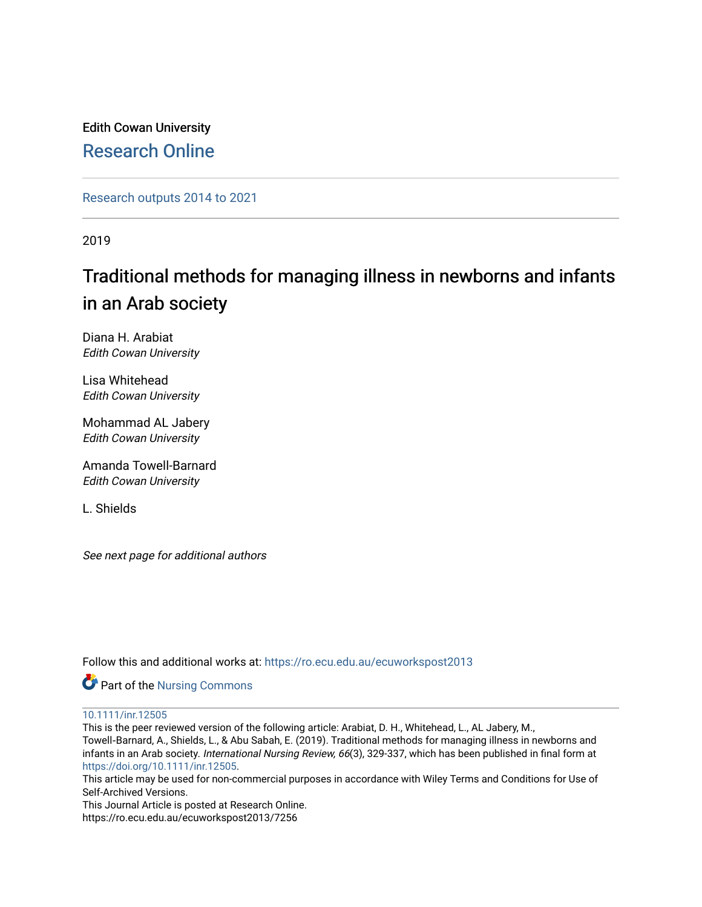Edith Cowan University [Research Online](https://ro.ecu.edu.au/) 

[Research outputs 2014 to 2021](https://ro.ecu.edu.au/ecuworkspost2013) 

2019

# Traditional methods for managing illness in newborns and infants in an Arab society

Diana H. Arabiat Edith Cowan University

Lisa Whitehead Edith Cowan University

Mohammad AL Jabery Edith Cowan University

Amanda Towell-Barnard Edith Cowan University

L. Shields

See next page for additional authors

Follow this and additional works at: [https://ro.ecu.edu.au/ecuworkspost2013](https://ro.ecu.edu.au/ecuworkspost2013?utm_source=ro.ecu.edu.au%2Fecuworkspost2013%2F7256&utm_medium=PDF&utm_campaign=PDFCoverPages) 

Part of the [Nursing Commons](http://network.bepress.com/hgg/discipline/718?utm_source=ro.ecu.edu.au%2Fecuworkspost2013%2F7256&utm_medium=PDF&utm_campaign=PDFCoverPages) 

[10.1111/inr.12505](http://dx.doi.org/10.1111/inr.12505) 

This is the peer reviewed version of the following article: Arabiat, D. H., Whitehead, L., AL Jabery, M.,

Towell‐Barnard, A., Shields, L., & Abu Sabah, E. (2019). Traditional methods for managing illness in newborns and infants in an Arab society. International Nursing Review, 66(3), 329-337, which has been published in final form at <https://doi.org/10.1111/inr.12505>.

This article may be used for non-commercial purposes in accordance with Wiley Terms and Conditions for Use of Self-Archived Versions.

This Journal Article is posted at Research Online.

https://ro.ecu.edu.au/ecuworkspost2013/7256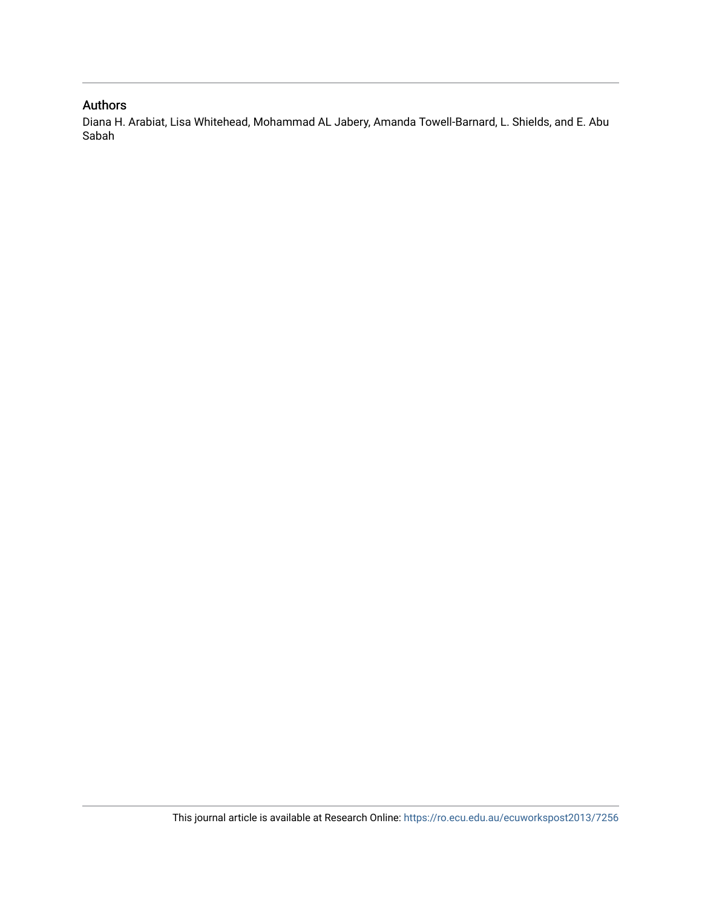## Authors

Diana H. Arabiat, Lisa Whitehead, Mohammad AL Jabery, Amanda Towell-Barnard, L. Shields, and E. Abu Sabah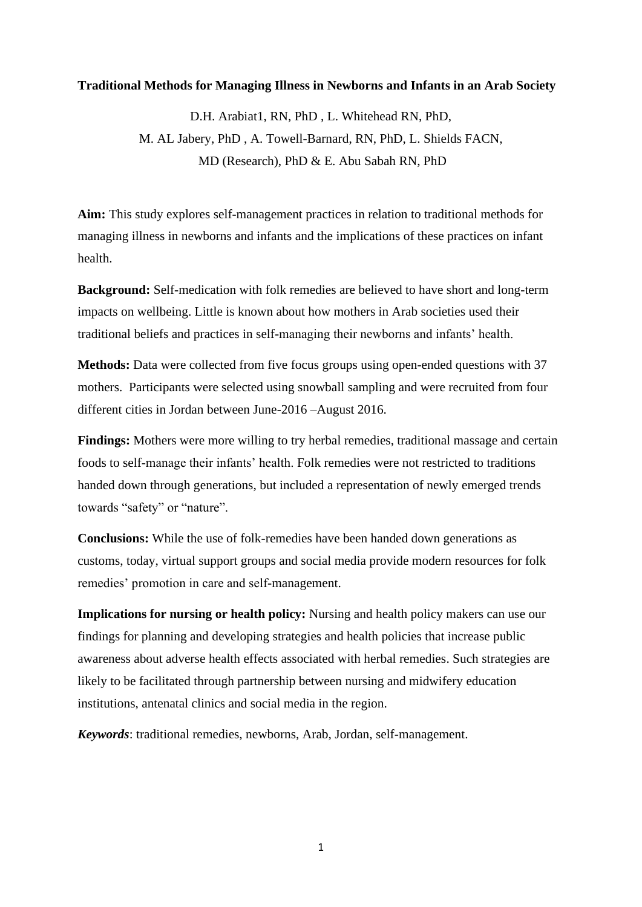## **Traditional Methods for Managing Illness in Newborns and Infants in an Arab Society**

D.H. Arabiat1, RN, PhD , L. Whitehead RN, PhD, M. AL Jabery, PhD , A. Towell-Barnard, RN, PhD, L. Shields FACN, MD (Research), PhD & E. Abu Sabah RN, PhD

**Aim:** This study explores self-management practices in relation to traditional methods for managing illness in newborns and infants and the implications of these practices on infant health.

**Background:** Self-medication with folk remedies are believed to have short and long-term impacts on wellbeing. Little is known about how mothers in Arab societies used their traditional beliefs and practices in self-managing their newborns and infants' health.

**Methods:** Data were collected from five focus groups using open-ended questions with 37 mothers. Participants were selected using snowball sampling and were recruited from four different cities in Jordan between June-2016 –August 2016.

Findings: Mothers were more willing to try herbal remedies, traditional massage and certain foods to self-manage their infants' health. Folk remedies were not restricted to traditions handed down through generations, but included a representation of newly emerged trends towards "safety" or "nature".

**Conclusions:** While the use of folk-remedies have been handed down generations as customs, today, virtual support groups and social media provide modern resources for folk remedies' promotion in care and self-management.

**Implications for nursing or health policy:** Nursing and health policy makers can use our findings for planning and developing strategies and health policies that increase public awareness about adverse health effects associated with herbal remedies. Such strategies are likely to be facilitated through partnership between nursing and midwifery education institutions, antenatal clinics and social media in the region.

*Keywords*: traditional remedies, newborns, Arab, Jordan, self-management.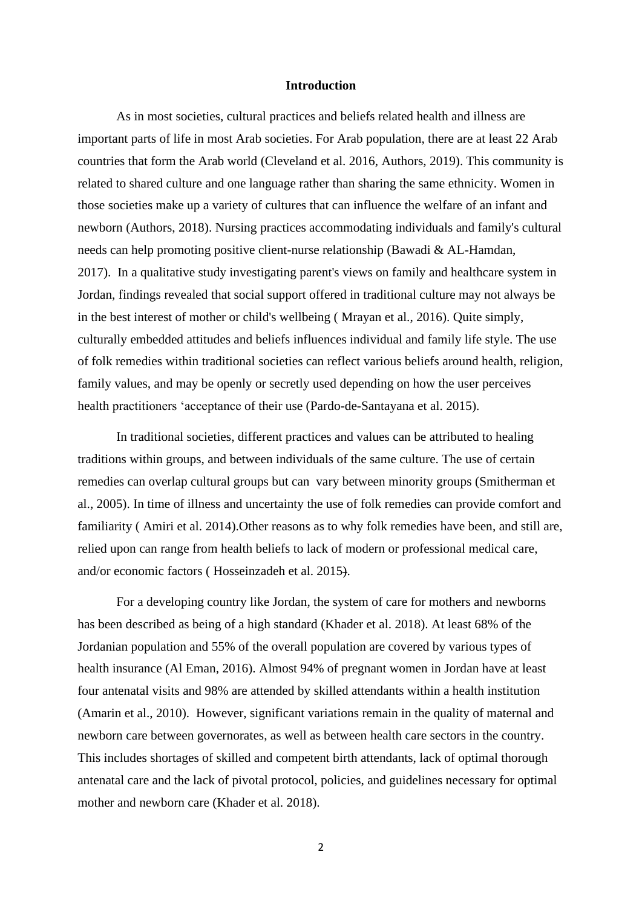## **Introduction**

As in most societies, cultural practices and beliefs related health and illness are important parts of life in most Arab societies. For Arab population, there are at least 22 Arab countries that form the Arab world (Cleveland et al. 2016, Authors, 2019). This community is related to shared culture and one language rather than sharing the same ethnicity. Women in those societies make up a variety of cultures that can influence the welfare of an infant and newborn (Authors, 2018). Nursing practices accommodating individuals and family's cultural needs can help promoting positive client-nurse relationship (Bawadi & AL-Hamdan, 2017). In a qualitative study investigating parent's views on family and healthcare system in Jordan, findings revealed that social support offered in traditional culture may not always be in the best interest of mother or child's wellbeing ( Mrayan et al., 2016). Quite simply, culturally embedded attitudes and beliefs influences individual and family life style. The use of folk remedies within traditional societies can reflect various beliefs around health, religion, family values, and may be openly or secretly used depending on how the user perceives health practitioners 'acceptance of their use (Pardo-de-Santayana et al. 2015).

In traditional societies, different practices and values can be attributed to healing traditions within groups, and between individuals of the same culture. The use of certain remedies can overlap cultural groups but can vary between minority groups (Smitherman et al., 2005). In time of illness and uncertainty the use of folk remedies can provide comfort and familiarity ( Amiri et al. 2014).Other reasons as to why folk remedies have been, and still are, relied upon can range from health beliefs to lack of modern or professional medical care, and/or economic factors ( Hosseinzadeh et al. 2015).

For a developing country like Jordan, the system of care for mothers and newborns has been described as being of a high standard (Khader et al. 2018). At least 68% of the Jordanian population and 55% of the overall population are covered by various types of health insurance (Al Eman, 2016). Almost 94% of pregnant women in Jordan have at least four antenatal visits and 98% are attended by skilled attendants within a health institution (Amarin et al., 2010). However, significant variations remain in the quality of maternal and newborn care between governorates, as well as between health care sectors in the country. This includes shortages of skilled and competent birth attendants, lack of optimal thorough antenatal care and the lack of pivotal protocol, policies, and guidelines necessary for optimal mother and newborn care (Khader et al. 2018).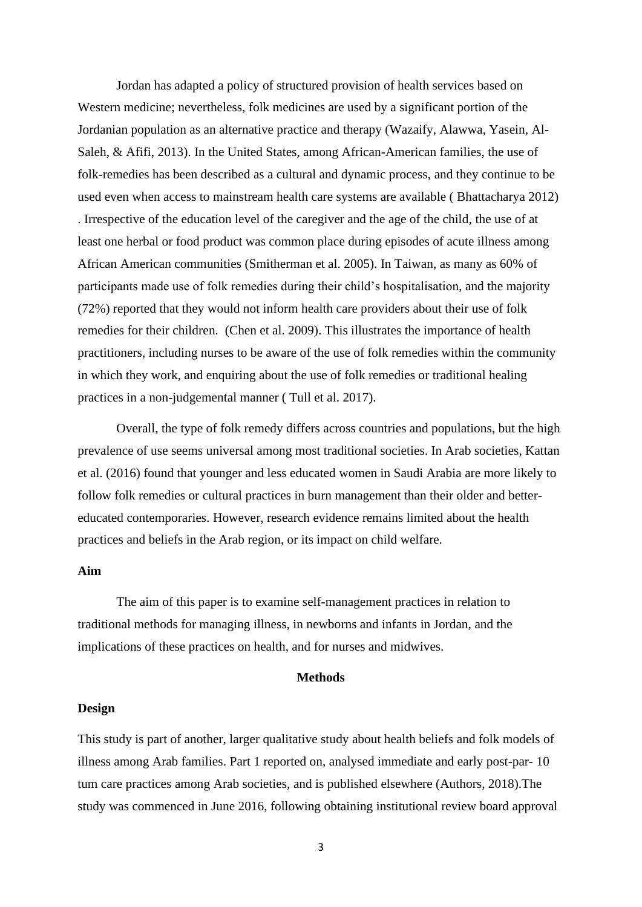Jordan has adapted a policy of structured provision of health services based on Western medicine; nevertheless, folk medicines are used by a significant portion of the Jordanian population as an alternative practice and therapy (Wazaify, Alawwa, Yasein, Al-Saleh, & Afifi, 2013). In the United States, among African-American families, the use of folk-remedies has been described as a cultural and dynamic process, and they continue to be used even when access to mainstream health care systems are available ( Bhattacharya 2012) . Irrespective of the education level of the caregiver and the age of the child, the use of at least one herbal or food product was common place during episodes of acute illness among African American communities (Smitherman et al. 2005). In Taiwan, as many as 60% of participants made use of folk remedies during their child's hospitalisation, and the majority (72%) reported that they would not inform health care providers about their use of folk remedies for their children. (Chen et al. 2009). This illustrates the importance of health practitioners, including nurses to be aware of the use of folk remedies within the community in which they work, and enquiring about the use of folk remedies or traditional healing practices in a non-judgemental manner ( Tull et al. 2017).

Overall, the type of folk remedy differs across countries and populations, but the high prevalence of use seems universal among most traditional societies. In Arab societies, Kattan et al. (2016) found that younger and less educated women in Saudi Arabia are more likely to follow folk remedies or cultural practices in burn management than their older and bettereducated contemporaries. However, research evidence remains limited about the health practices and beliefs in the Arab region, or its impact on child welfare.

## **Aim**

The aim of this paper is to examine self-management practices in relation to traditional methods for managing illness, in newborns and infants in Jordan, and the implications of these practices on health, and for nurses and midwives.

## **Methods**

#### **Design**

This study is part of another, larger qualitative study about health beliefs and folk models of illness among Arab families. Part 1 reported on, analysed immediate and early post-par- 10 tum care practices among Arab societies, and is published elsewhere (Authors, 2018).The study was commenced in June 2016, following obtaining institutional review board approval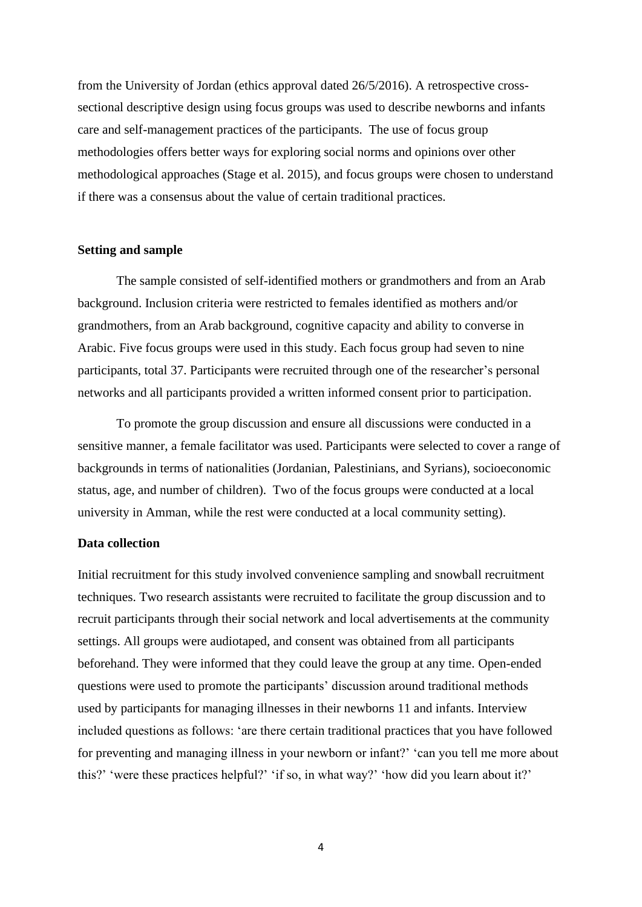from the University of Jordan (ethics approval dated 26/5/2016). A retrospective crosssectional descriptive design using focus groups was used to describe newborns and infants care and self-management practices of the participants. The use of focus group methodologies offers better ways for exploring social norms and opinions over other methodological approaches (Stage et al. 2015), and focus groups were chosen to understand if there was a consensus about the value of certain traditional practices.

#### **Setting and sample**

The sample consisted of self-identified mothers or grandmothers and from an Arab background. Inclusion criteria were restricted to females identified as mothers and/or grandmothers, from an Arab background, cognitive capacity and ability to converse in Arabic. Five focus groups were used in this study. Each focus group had seven to nine participants, total 37. Participants were recruited through one of the researcher's personal networks and all participants provided a written informed consent prior to participation.

To promote the group discussion and ensure all discussions were conducted in a sensitive manner, a female facilitator was used. Participants were selected to cover a range of backgrounds in terms of nationalities (Jordanian, Palestinians, and Syrians), socioeconomic status, age, and number of children). Two of the focus groups were conducted at a local university in Amman, while the rest were conducted at a local community setting).

## **Data collection**

Initial recruitment for this study involved convenience sampling and snowball recruitment techniques. Two research assistants were recruited to facilitate the group discussion and to recruit participants through their social network and local advertisements at the community settings. All groups were audiotaped, and consent was obtained from all participants beforehand. They were informed that they could leave the group at any time. Open-ended questions were used to promote the participants' discussion around traditional methods used by participants for managing illnesses in their newborns 11 and infants. Interview included questions as follows: 'are there certain traditional practices that you have followed for preventing and managing illness in your newborn or infant?' 'can you tell me more about this?' 'were these practices helpful?' 'if so, in what way?' 'how did you learn about it?'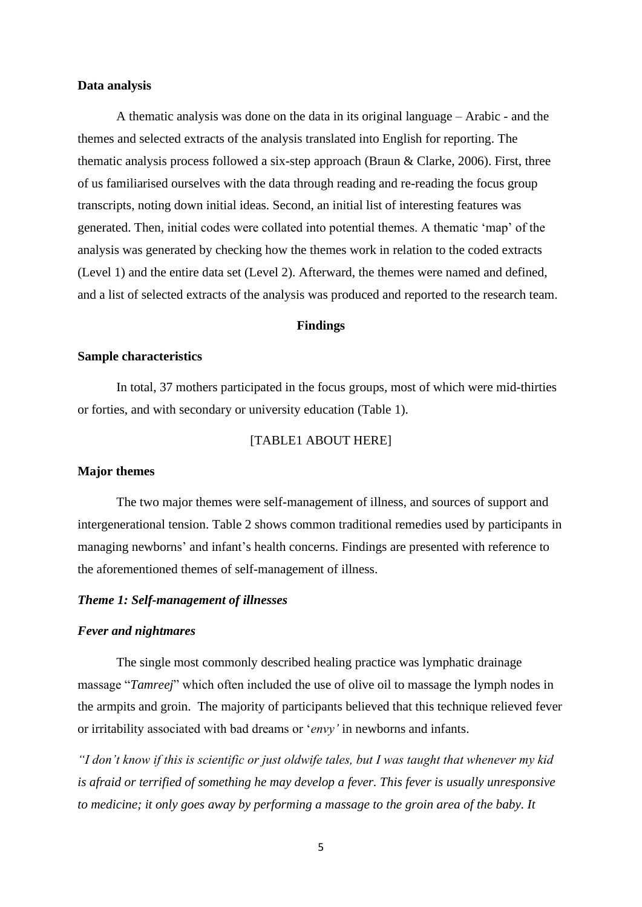#### **Data analysis**

A thematic analysis was done on the data in its original language – Arabic - and the themes and selected extracts of the analysis translated into English for reporting. The thematic analysis process followed a six-step approach (Braun & Clarke, 2006). First, three of us familiarised ourselves with the data through reading and re-reading the focus group transcripts, noting down initial ideas. Second, an initial list of interesting features was generated. Then, initial codes were collated into potential themes. A thematic 'map' of the analysis was generated by checking how the themes work in relation to the coded extracts (Level 1) and the entire data set (Level 2). Afterward, the themes were named and defined, and a list of selected extracts of the analysis was produced and reported to the research team.

## **Findings**

## **Sample characteristics**

In total, 37 mothers participated in the focus groups, most of which were mid-thirties or forties, and with secondary or university education (Table 1).

## [TABLE1 ABOUT HERE]

#### **Major themes**

The two major themes were self-management of illness, and sources of support and intergenerational tension. Table 2 shows common traditional remedies used by participants in managing newborns' and infant's health concerns. Findings are presented with reference to the aforementioned themes of self-management of illness.

## *Theme 1: Self-management of illnesses*

#### *Fever and nightmares*

The single most commonly described healing practice was lymphatic drainage massage "*Tamreej*" which often included the use of olive oil to massage the lymph nodes in the armpits and groin. The majority of participants believed that this technique relieved fever or irritability associated with bad dreams or '*envy'* in newborns and infants.

*"I don't know if this is scientific or just oldwife tales, but I was taught that whenever my kid is afraid or terrified of something he may develop a fever. This fever is usually unresponsive to medicine; it only goes away by performing a massage to the groin area of the baby. It*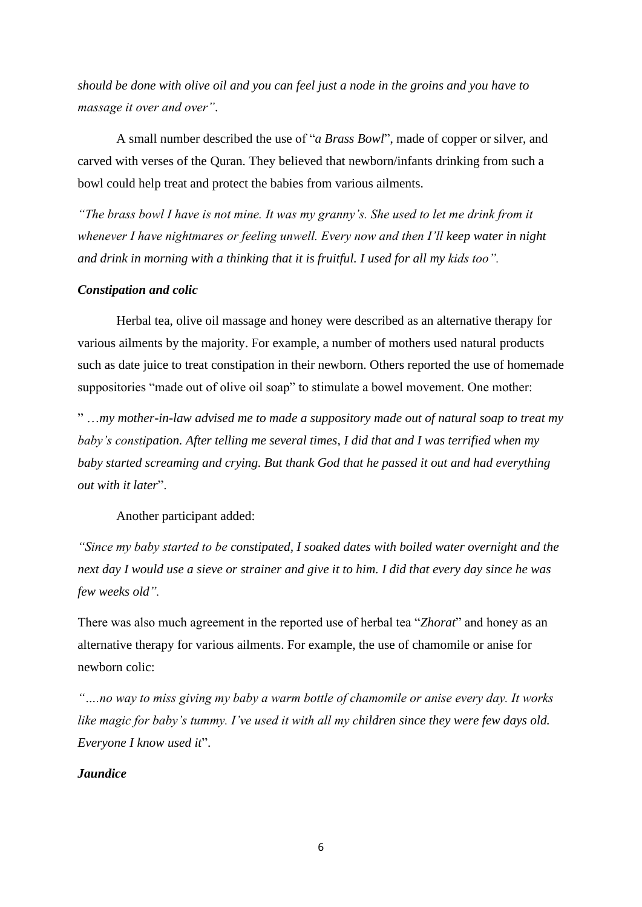*should be done with olive oil and you can feel just a node in the groins and you have to massage it over and over"*.

A small number described the use of "*a Brass Bowl*", made of copper or silver, and carved with verses of the Quran. They believed that newborn/infants drinking from such a bowl could help treat and protect the babies from various ailments.

*"The brass bowl I have is not mine. It was my granny's. She used to let me drink from it whenever I have nightmares or feeling unwell. Every now and then I'll keep water in night and drink in morning with a thinking that it is fruitful. I used for all my kids too".*

## *Constipation and colic*

Herbal tea, olive oil massage and honey were described as an alternative therapy for various ailments by the majority. For example, a number of mothers used natural products such as date juice to treat constipation in their newborn. Others reported the use of homemade suppositories "made out of olive oil soap" to stimulate a bowel movement. One mother:

" …*my mother-in-law advised me to made a suppository made out of natural soap to treat my baby's constipation. After telling me several times, I did that and I was terrified when my baby started screaming and crying. But thank God that he passed it out and had everything out with it later*".

Another participant added:

*"Since my baby started to be constipated, I soaked dates with boiled water overnight and the next day I would use a sieve or strainer and give it to him. I did that every day since he was few weeks old".*

There was also much agreement in the reported use of herbal tea "*Zhorat*" and honey as an alternative therapy for various ailments. For example, the use of chamomile or anise for newborn colic:

*"….no way to miss giving my baby a warm bottle of chamomile or anise every day. It works like magic for baby's tummy. I've used it with all my children since they were few days old. Everyone I know used it*".

## *Jaundice*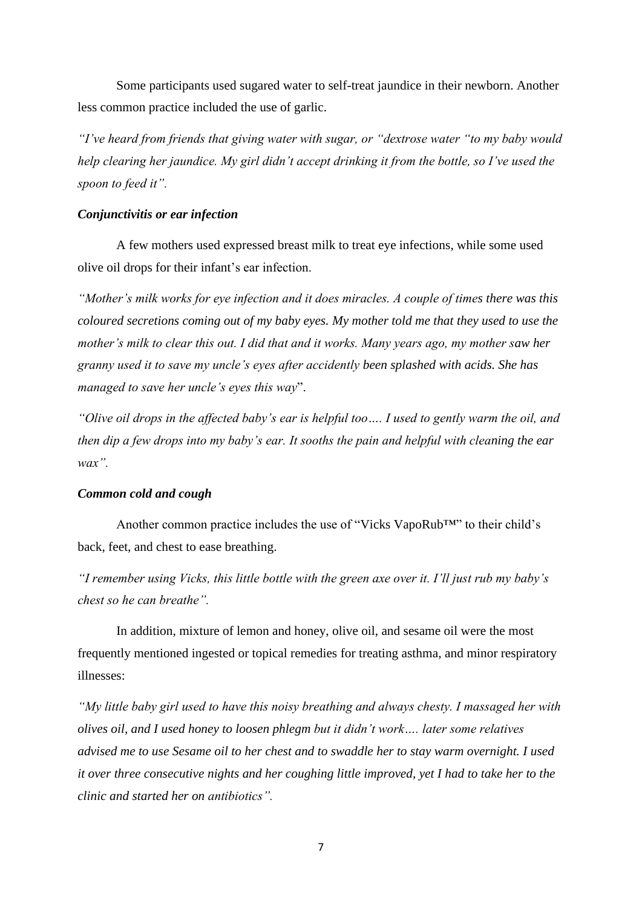Some participants used sugared water to self-treat jaundice in their newborn. Another less common practice included the use of garlic.

*"I've heard from friends that giving water with sugar, or "dextrose water "to my baby would help clearing her jaundice. My girl didn't accept drinking it from the bottle, so I've used the spoon to feed it".* 

## *Conjunctivitis or ear infection*

A few mothers used expressed breast milk to treat eye infections, while some used olive oil drops for their infant's ear infection.

*"Mother's milk works for eye infection and it does miracles. A couple of times there was this coloured secretions coming out of my baby eyes. My mother told me that they used to use the mother's milk to clear this out. I did that and it works. Many years ago, my mother saw her granny used it to save my uncle's eyes after accidently been splashed with acids. She has managed to save her uncle's eyes this way*".

*"Olive oil drops in the affected baby's ear is helpful too…. I used to gently warm the oil, and then dip a few drops into my baby's ear. It sooths the pain and helpful with cleaning the ear wax".* 

## *Common cold and cough*

Another common practice includes the use of "Vicks VapoRub™" to their child's back, feet, and chest to ease breathing.

*"I remember using Vicks, this little bottle with the green axe over it. I'll just rub my baby's chest so he can breathe".*

In addition, mixture of lemon and honey, olive oil, and sesame oil were the most frequently mentioned ingested or topical remedies for treating asthma, and minor respiratory illnesses:

*"My little baby girl used to have this noisy breathing and always chesty. I massaged her with olives oil, and I used honey to loosen phlegm but it didn't work…. later some relatives advised me to use Sesame oil to her chest and to swaddle her to stay warm overnight. I used it over three consecutive nights and her coughing little improved, yet I had to take her to the clinic and started her on antibiotics".*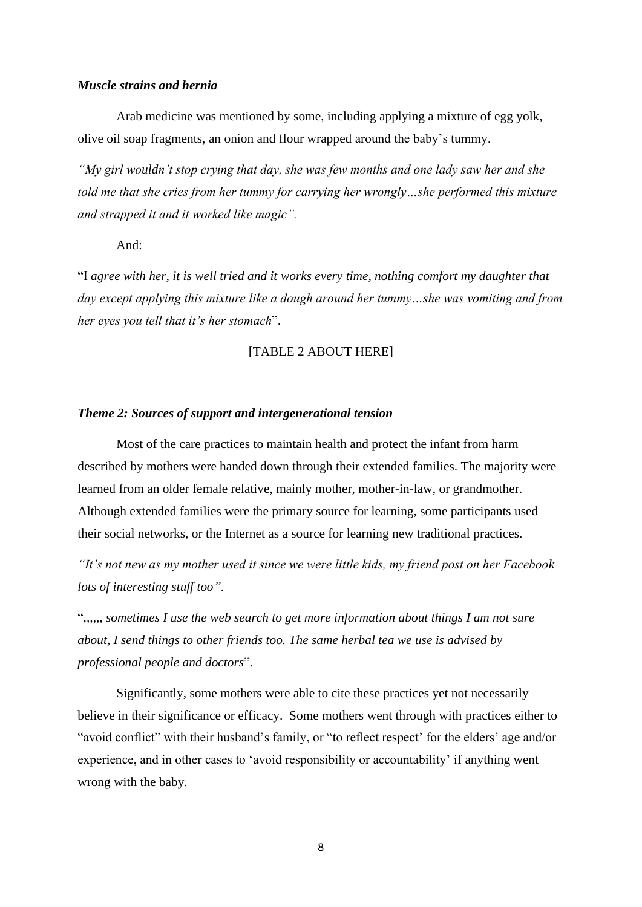#### *Muscle strains and hernia*

Arab medicine was mentioned by some, including applying a mixture of egg yolk, olive oil soap fragments, an onion and flour wrapped around the baby's tummy.

*"My girl wouldn't stop crying that day, she was few months and one lady saw her and she told me that she cries from her tummy for carrying her wrongly…she performed this mixture and strapped it and it worked like magic".* 

And:

"I *agree with her, it is well tried and it works every time, nothing comfort my daughter that day except applying this mixture like a dough around her tummy…she was vomiting and from her eyes you tell that it's her stomach*".

[TABLE 2 ABOUT HERE]

## *Theme 2: Sources of support and intergenerational tension*

Most of the care practices to maintain health and protect the infant from harm described by mothers were handed down through their extended families. The majority were learned from an older female relative, mainly mother, mother-in-law, or grandmother. Although extended families were the primary source for learning, some participants used their social networks, or the Internet as a source for learning new traditional practices.

*"It's not new as my mother used it since we were little kids, my friend post on her Facebook lots of interesting stuff too"*.

"*,,,,,, sometimes I use the web search to get more information about things I am not sure about, I send things to other friends too. The same herbal tea we use is advised by professional people and doctors*".

Significantly, some mothers were able to cite these practices yet not necessarily believe in their significance or efficacy. Some mothers went through with practices either to "avoid conflict" with their husband's family, or "to reflect respect' for the elders' age and/or experience, and in other cases to 'avoid responsibility or accountability' if anything went wrong with the baby.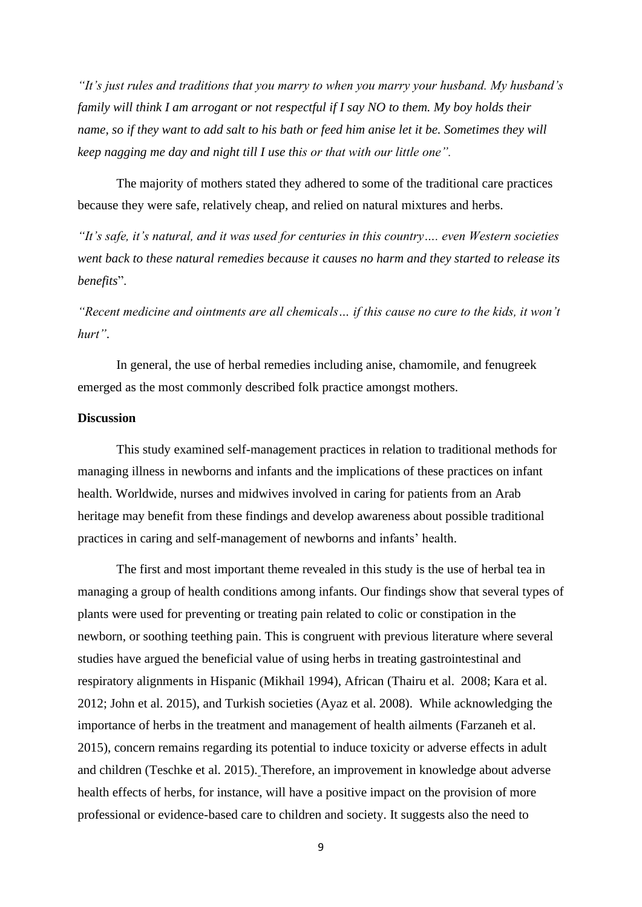*"It's just rules and traditions that you marry to when you marry your husband. My husband's family will think I am arrogant or not respectful if I say NO to them. My boy holds their name, so if they want to add salt to his bath or feed him anise let it be. Sometimes they will keep nagging me day and night till I use this or that with our little one".*

The majority of mothers stated they adhered to some of the traditional care practices because they were safe, relatively cheap, and relied on natural mixtures and herbs.

*"It's safe, it's natural, and it was used for centuries in this country…. even Western societies went back to these natural remedies because it causes no harm and they started to release its benefits*".

*"Recent medicine and ointments are all chemicals… if this cause no cure to the kids, it won't hurt"*.

In general, the use of herbal remedies including anise, chamomile, and fenugreek emerged as the most commonly described folk practice amongst mothers.

## **Discussion**

This study examined self-management practices in relation to traditional methods for managing illness in newborns and infants and the implications of these practices on infant health. Worldwide, nurses and midwives involved in caring for patients from an Arab heritage may benefit from these findings and develop awareness about possible traditional practices in caring and self-management of newborns and infants' health.

The first and most important theme revealed in this study is the use of herbal tea in managing a group of health conditions among infants. Our findings show that several types of plants were used for preventing or treating pain related to colic or constipation in the newborn, or soothing teething pain. This is congruent with previous literature where several studies have argued the beneficial value of using herbs in treating gastrointestinal and respiratory alignments in Hispanic (Mikhail 1994), African (Thairu et al. 2008; Kara et al. 2012; John et al. 2015), and Turkish societies (Ayaz et al. 2008). While acknowledging the importance of herbs in the treatment and management of health ailments (Farzaneh et al. 2015), concern remains regarding its potential to induce toxicity or adverse effects in adult and children (Teschke et al. 2015). Therefore, an improvement in knowledge about adverse health effects of herbs, for instance, will have a positive impact on the provision of more professional or evidence-based care to children and society. It suggests also the need to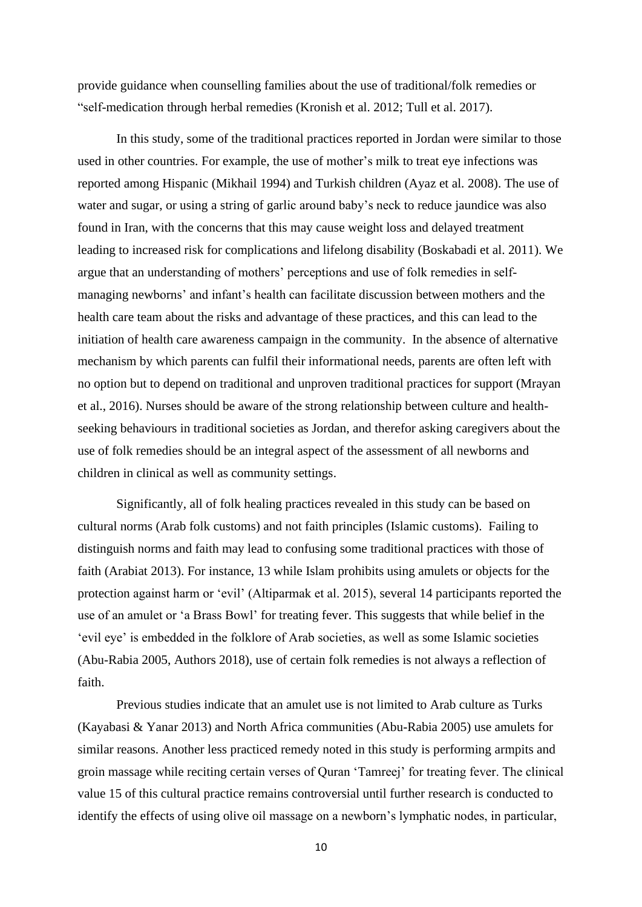provide guidance when counselling families about the use of traditional/folk remedies or "self-medication through herbal remedies (Kronish et al. 2012; Tull et al. 2017).

In this study, some of the traditional practices reported in Jordan were similar to those used in other countries. For example, the use of mother's milk to treat eye infections was reported among Hispanic (Mikhail 1994) and Turkish children (Ayaz et al. 2008). The use of water and sugar, or using a string of garlic around baby's neck to reduce jaundice was also found in Iran, with the concerns that this may cause weight loss and delayed treatment leading to increased risk for complications and lifelong disability (Boskabadi et al. 2011). We argue that an understanding of mothers' perceptions and use of folk remedies in selfmanaging newborns' and infant's health can facilitate discussion between mothers and the health care team about the risks and advantage of these practices, and this can lead to the initiation of health care awareness campaign in the community. In the absence of alternative mechanism by which parents can fulfil their informational needs, parents are often left with no option but to depend on traditional and unproven traditional practices for support (Mrayan et al., 2016). Nurses should be aware of the strong relationship between culture and healthseeking behaviours in traditional societies as Jordan, and therefor asking caregivers about the use of folk remedies should be an integral aspect of the assessment of all newborns and children in clinical as well as community settings.

Significantly, all of folk healing practices revealed in this study can be based on cultural norms (Arab folk customs) and not faith principles (Islamic customs). Failing to distinguish norms and faith may lead to confusing some traditional practices with those of faith (Arabiat 2013). For instance, 13 while Islam prohibits using amulets or objects for the protection against harm or 'evil' (Altiparmak et al. 2015), several 14 participants reported the use of an amulet or 'a Brass Bowl' for treating fever. This suggests that while belief in the 'evil eye' is embedded in the folklore of Arab societies, as well as some Islamic societies (Abu-Rabia 2005, Authors 2018), use of certain folk remedies is not always a reflection of faith.

Previous studies indicate that an amulet use is not limited to Arab culture as Turks (Kayabasi & Yanar 2013) and North Africa communities (Abu-Rabia 2005) use amulets for similar reasons. Another less practiced remedy noted in this study is performing armpits and groin massage while reciting certain verses of Quran 'Tamreej' for treating fever. The clinical value 15 of this cultural practice remains controversial until further research is conducted to identify the effects of using olive oil massage on a newborn's lymphatic nodes, in particular,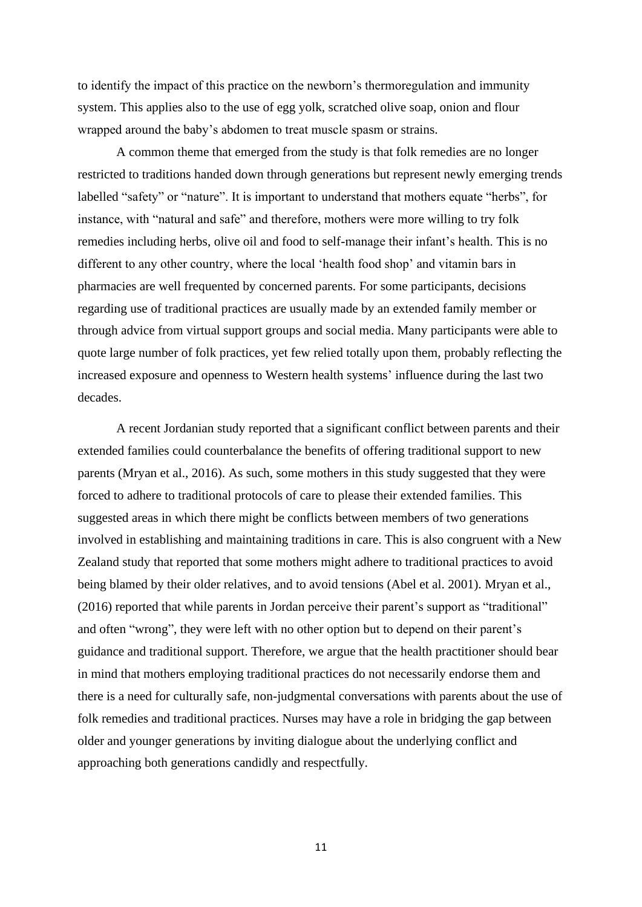to identify the impact of this practice on the newborn's thermoregulation and immunity system. This applies also to the use of egg yolk, scratched olive soap, onion and flour wrapped around the baby's abdomen to treat muscle spasm or strains.

A common theme that emerged from the study is that folk remedies are no longer restricted to traditions handed down through generations but represent newly emerging trends labelled "safety" or "nature". It is important to understand that mothers equate "herbs", for instance, with "natural and safe" and therefore, mothers were more willing to try folk remedies including herbs, olive oil and food to self-manage their infant's health. This is no different to any other country, where the local 'health food shop' and vitamin bars in pharmacies are well frequented by concerned parents. For some participants, decisions regarding use of traditional practices are usually made by an extended family member or through advice from virtual support groups and social media. Many participants were able to quote large number of folk practices, yet few relied totally upon them, probably reflecting the increased exposure and openness to Western health systems' influence during the last two decades.

A recent Jordanian study reported that a significant conflict between parents and their extended families could counterbalance the benefits of offering traditional support to new parents (Mryan et al., 2016). As such, some mothers in this study suggested that they were forced to adhere to traditional protocols of care to please their extended families. This suggested areas in which there might be conflicts between members of two generations involved in establishing and maintaining traditions in care. This is also congruent with a New Zealand study that reported that some mothers might adhere to traditional practices to avoid being blamed by their older relatives, and to avoid tensions (Abel et al. 2001). Mryan et al., (2016) reported that while parents in Jordan perceive their parent's support as "traditional" and often "wrong", they were left with no other option but to depend on their parent's guidance and traditional support. Therefore, we argue that the health practitioner should bear in mind that mothers employing traditional practices do not necessarily endorse them and there is a need for culturally safe, non-judgmental conversations with parents about the use of folk remedies and traditional practices. Nurses may have a role in bridging the gap between older and younger generations by inviting dialogue about the underlying conflict and approaching both generations candidly and respectfully.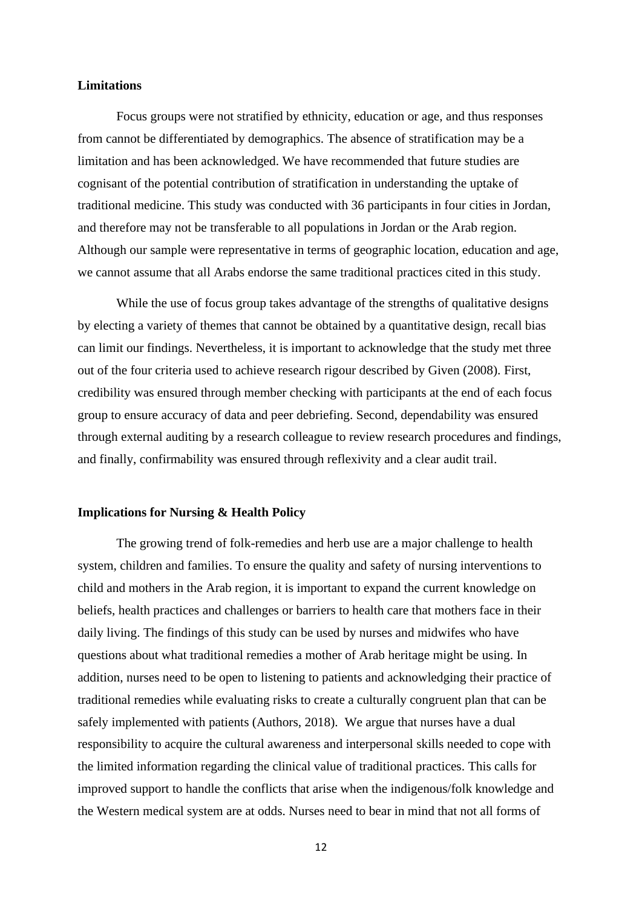## **Limitations**

Focus groups were not stratified by ethnicity, education or age, and thus responses from cannot be differentiated by demographics. The absence of stratification may be a limitation and has been acknowledged. We have recommended that future studies are cognisant of the potential contribution of stratification in understanding the uptake of traditional medicine. This study was conducted with 36 participants in four cities in Jordan, and therefore may not be transferable to all populations in Jordan or the Arab region. Although our sample were representative in terms of geographic location, education and age, we cannot assume that all Arabs endorse the same traditional practices cited in this study.

While the use of focus group takes advantage of the strengths of qualitative designs by electing a variety of themes that cannot be obtained by a quantitative design, recall bias can limit our findings. Nevertheless, it is important to acknowledge that the study met three out of the four criteria used to achieve research rigour described by Given (2008). First, credibility was ensured through member checking with participants at the end of each focus group to ensure accuracy of data and peer debriefing. Second, dependability was ensured through external auditing by a research colleague to review research procedures and findings, and finally, confirmability was ensured through reflexivity and a clear audit trail.

## **Implications for Nursing & Health Policy**

The growing trend of folk-remedies and herb use are a major challenge to health system, children and families. To ensure the quality and safety of nursing interventions to child and mothers in the Arab region, it is important to expand the current knowledge on beliefs, health practices and challenges or barriers to health care that mothers face in their daily living. The findings of this study can be used by nurses and midwifes who have questions about what traditional remedies a mother of Arab heritage might be using. In addition, nurses need to be open to listening to patients and acknowledging their practice of traditional remedies while evaluating risks to create a culturally congruent plan that can be safely implemented with patients (Authors, 2018). We argue that nurses have a dual responsibility to acquire the cultural awareness and interpersonal skills needed to cope with the limited information regarding the clinical value of traditional practices. This calls for improved support to handle the conflicts that arise when the indigenous/folk knowledge and the Western medical system are at odds. Nurses need to bear in mind that not all forms of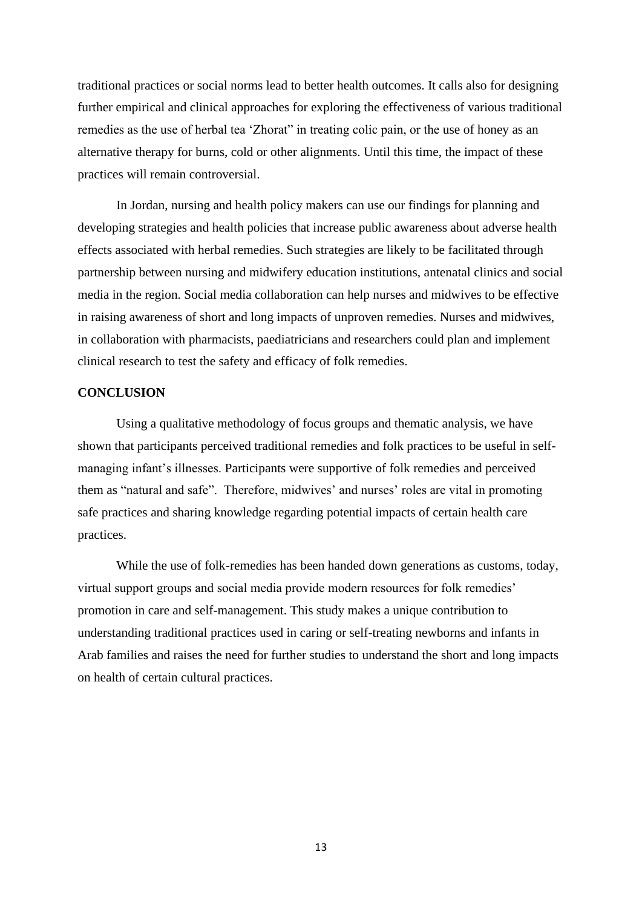traditional practices or social norms lead to better health outcomes. It calls also for designing further empirical and clinical approaches for exploring the effectiveness of various traditional remedies as the use of herbal tea 'Zhorat" in treating colic pain, or the use of honey as an alternative therapy for burns, cold or other alignments. Until this time, the impact of these practices will remain controversial.

In Jordan, nursing and health policy makers can use our findings for planning and developing strategies and health policies that increase public awareness about adverse health effects associated with herbal remedies. Such strategies are likely to be facilitated through partnership between nursing and midwifery education institutions, antenatal clinics and social media in the region. Social media collaboration can help nurses and midwives to be effective in raising awareness of short and long impacts of unproven remedies. Nurses and midwives, in collaboration with pharmacists, paediatricians and researchers could plan and implement clinical research to test the safety and efficacy of folk remedies.

#### **CONCLUSION**

Using a qualitative methodology of focus groups and thematic analysis, we have shown that participants perceived traditional remedies and folk practices to be useful in selfmanaging infant's illnesses. Participants were supportive of folk remedies and perceived them as "natural and safe". Therefore, midwives' and nurses' roles are vital in promoting safe practices and sharing knowledge regarding potential impacts of certain health care practices.

While the use of folk-remedies has been handed down generations as customs, today, virtual support groups and social media provide modern resources for folk remedies' promotion in care and self-management. This study makes a unique contribution to understanding traditional practices used in caring or self-treating newborns and infants in Arab families and raises the need for further studies to understand the short and long impacts on health of certain cultural practices.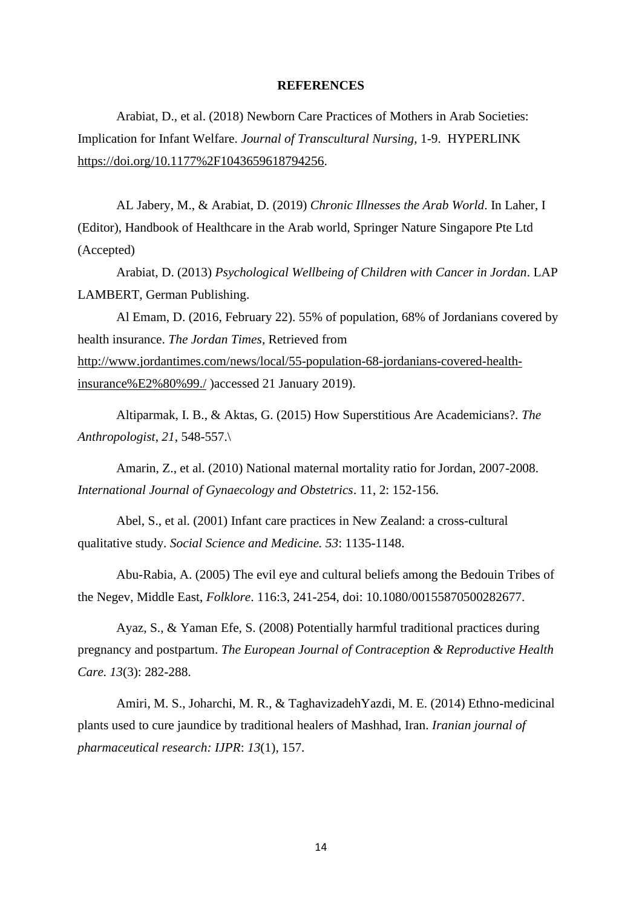#### **REFERENCES**

Arabiat, D., et al. (2018) Newborn Care Practices of Mothers in Arab Societies: Implication for Infant Welfare. *Journal of Transcultural Nursing,* 1-9. HYPERLINK [https://doi.org/10.1177%2F1043659618794256.](https://doi.org/10.1177%2F1043659618794256)

AL Jabery, M., & Arabiat, D. (2019) *Chronic Illnesses the Arab World*. In Laher, I (Editor), Handbook of Healthcare in the Arab world, Springer Nature Singapore Pte Ltd (Accepted)

Arabiat, D. (2013) *Psychological Wellbeing of Children with Cancer in Jordan*. LAP LAMBERT, German Publishing.

Al Emam, D. (2016, February 22). 55% of population, 68% of Jordanians covered by health insurance. *The Jordan Times*, Retrieved from [http://www.jordantimes.com/news/local/55-population-68-jordanians-covered-health](http://www.jordantimes.com/news/local/55-population-68-jordanians-covered-health-insurance%E2%80%99./)[insurance%E2%80%99./](http://www.jordantimes.com/news/local/55-population-68-jordanians-covered-health-insurance%E2%80%99./) )accessed 21 January 2019).

Altiparmak, I. B., & Aktas, G. (2015) How Superstitious Are Academicians?. *The Anthropologist*, *21*, 548-557.\

Amarin, Z., et al. (2010) National maternal mortality ratio for Jordan, 2007-2008. *International Journal of Gynaecology and Obstetrics*. 11, 2: 152-156.

Abel, S., et al. (2001) Infant care practices in New Zealand: a cross-cultural qualitative study. *Social Science and Medicine. 53*: 1135-1148.

Abu-Rabia, A. (2005) The evil eye and cultural beliefs among the Bedouin Tribes of the Negev, Middle East, *Folklore*. 116:3, 241-254, doi: 10.1080/00155870500282677.

Ayaz, S., & Yaman Efe, S. (2008) Potentially harmful traditional practices during pregnancy and postpartum. *The European Journal of Contraception & Reproductive Health Care. 13*(3): 282-288.

Amiri, M. S., Joharchi, M. R., & TaghavizadehYazdi, M. E. (2014) Ethno-medicinal plants used to cure jaundice by traditional healers of Mashhad, Iran. *Iranian journal of pharmaceutical research: IJPR*: *13*(1), 157.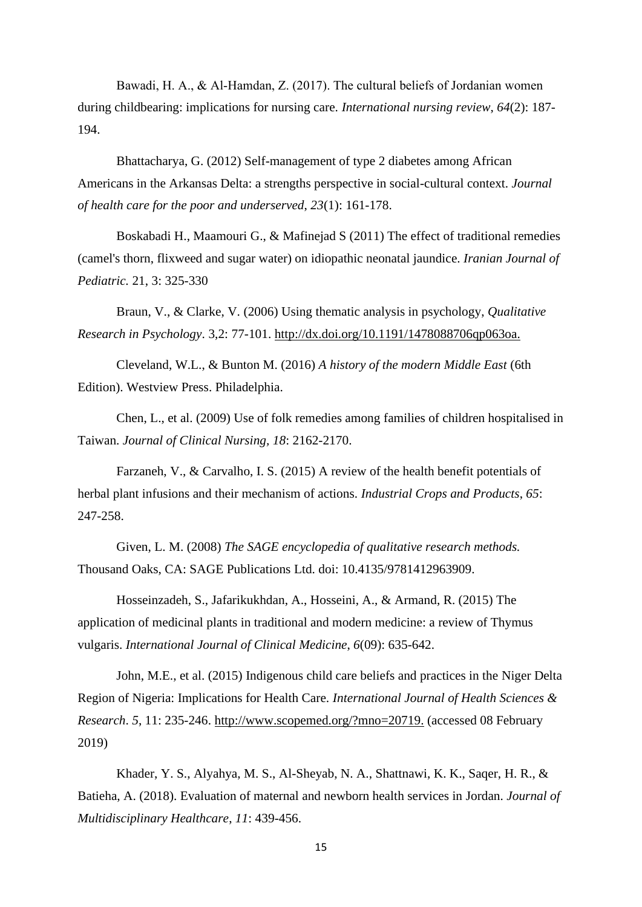Bawadi, H. A., & Al‐Hamdan, Z. (2017). The cultural beliefs of Jordanian women during childbearing: implications for nursing care. *International nursing review*, *64*(2): 187- 194.

Bhattacharya, G. (2012) Self-management of type 2 diabetes among African Americans in the Arkansas Delta: a strengths perspective in social-cultural context. *Journal of health care for the poor and underserved*, *23*(1): 161-178.

Boskabadi H., Maamouri G., & Mafinejad S (2011) The effect of traditional remedies (camel's thorn, flixweed and sugar water) on idiopathic neonatal jaundice. *Iranian Journal of Pediatric.* 21, 3: 325-330

Braun, V., & Clarke, V. (2006) Using thematic analysis in psychology, *Qualitative Research in Psychology*. 3,2: 77-101. [http://dx.doi.org/10.1191/1478088706qp063oa.](http://dx.doi.org/10.1191/1478088706qp063oa)

Cleveland, W.L., & Bunton M. (2016) *A history of the modern Middle East* (6th Edition). Westview Press. Philadelphia.

Chen, L., et al. (2009) Use of folk remedies among families of children hospitalised in Taiwan. *Journal of Clinical Nursing, 18*: 2162-2170.

Farzaneh, V., & Carvalho, I. S. (2015) A review of the health benefit potentials of herbal plant infusions and their mechanism of actions. *Industrial Crops and Products*, *65*: 247-258.

Given, L. M. (2008) *The SAGE encyclopedia of qualitative research methods.* Thousand Oaks, CA: SAGE Publications Ltd. doi: 10.4135/9781412963909.

Hosseinzadeh, S., Jafarikukhdan, A., Hosseini, A., & Armand, R. (2015) The application of medicinal plants in traditional and modern medicine: a review of Thymus vulgaris. *International Journal of Clinical Medicine*, *6*(09): 635-642.

John, M.E., et al. (2015) Indigenous child care beliefs and practices in the Niger Delta Region of Nigeria: Implications for Health Care. *International Journal of Health Sciences & Research*. *5*, 11: 235-246. [http://www.scopemed.org/?mno=20719.](http://www.scopemed.org/?mno=20719) (accessed 08 February 2019)

Khader, Y. S., Alyahya, M. S., Al-Sheyab, N. A., Shattnawi, K. K., Saqer, H. R., & Batieha, A. (2018). Evaluation of maternal and newborn health services in Jordan. *Journal of Multidisciplinary Healthcare*, *11*: 439-456.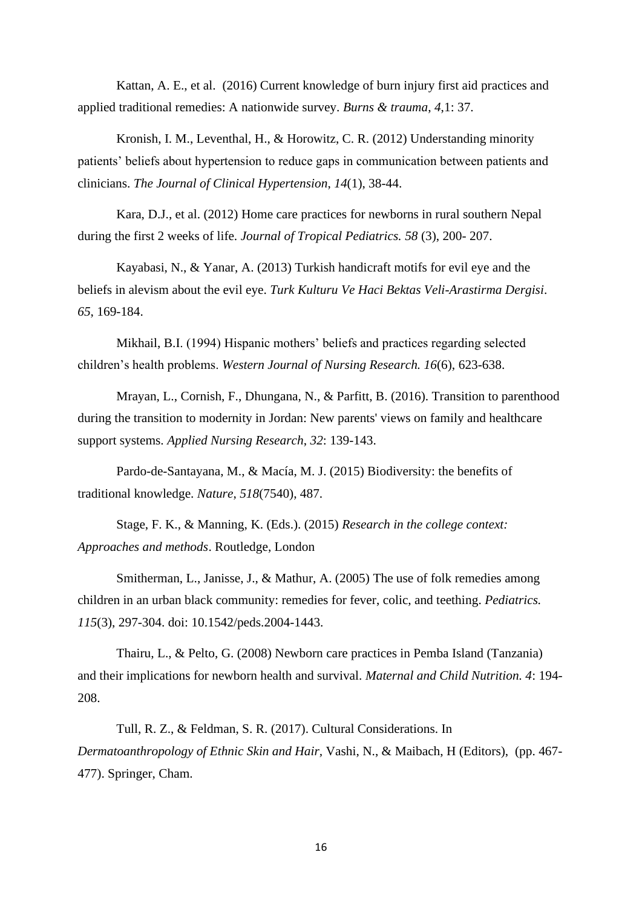Kattan, A. E., et al. (2016) Current knowledge of burn injury first aid practices and applied traditional remedies: A nationwide survey. *Burns & trauma*, *4*,1: 37.

Kronish, I. M., Leventhal, H., & Horowitz, C. R. (2012) Understanding minority patients' beliefs about hypertension to reduce gaps in communication between patients and clinicians. *The Journal of Clinical Hypertension*, *14*(1), 38-44.

Kara, D.J., et al. (2012) Home care practices for newborns in rural southern Nepal during the first 2 weeks of life. *Journal of Tropical Pediatrics. 58* (3), 200- 207.

Kayabasi, N., & Yanar, A. (2013) Turkish handicraft motifs for evil eye and the beliefs in alevism about the evil eye. *Turk Kulturu Ve Haci Bektas Veli-Arastirma Dergisi*. *65*, 169-184.

Mikhail, B.I. (1994) Hispanic mothers' beliefs and practices regarding selected children's health problems. *Western Journal of Nursing Research. 16*(6), 623-638.

Mrayan, L., Cornish, F., Dhungana, N., & Parfitt, B. (2016). Transition to parenthood during the transition to modernity in Jordan: New parents' views on family and healthcare support systems. *Applied Nursing Research*, *32*: 139-143.

Pardo-de-Santayana, M., & Macía, M. J. (2015) Biodiversity: the benefits of traditional knowledge. *Nature*, *518*(7540), 487.

Stage, F. K., & Manning, K. (Eds.). (2015) *Research in the college context: Approaches and methods*. Routledge, London

Smitherman, L., Janisse, J., & Mathur, A. (2005) The use of folk remedies among children in an urban black community: remedies for fever, colic, and teething. *Pediatrics. 115*(3), 297-304. doi: 10.1542/peds.2004-1443.

Thairu, L., & Pelto, G. (2008) Newborn care practices in Pemba Island (Tanzania) and their implications for newborn health and survival. *Maternal and Child Nutrition. 4*: 194- 208.

Tull, R. Z., & Feldman, S. R. (2017). Cultural Considerations. In *Dermatoanthropology of Ethnic Skin and Hair,* Vashi, N., & Maibach, H (Editors), (pp. 467- 477). Springer, Cham.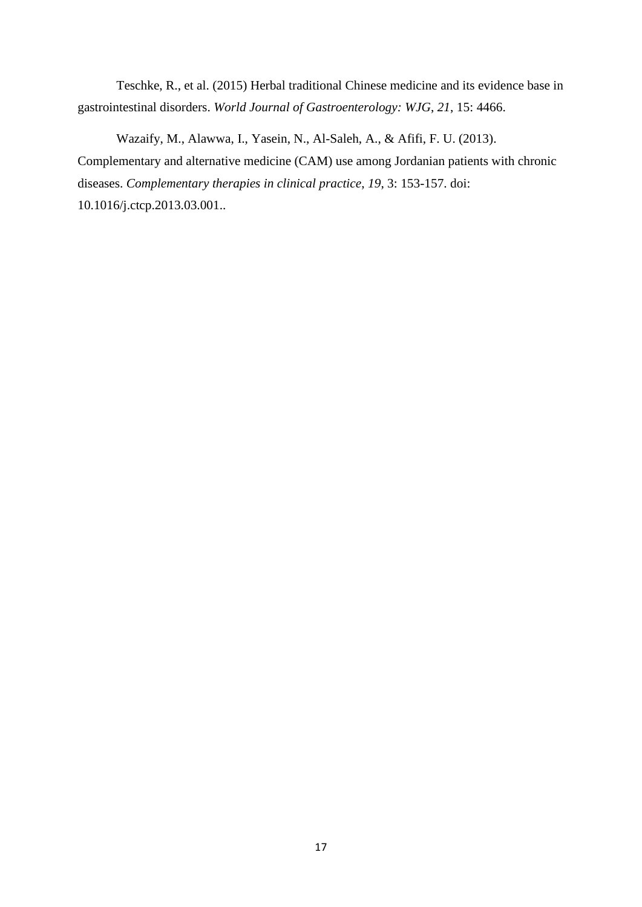Teschke, R., et al. (2015) Herbal traditional Chinese medicine and its evidence base in gastrointestinal disorders. *World Journal of Gastroenterology: WJG*, *21*, 15: 4466.

Wazaify, M., Alawwa, I., Yasein, N., Al-Saleh, A., & Afifi, F. U. (2013). Complementary and alternative medicine (CAM) use among Jordanian patients with chronic diseases. *Complementary therapies in clinical practice*, *19*, 3: 153-157. doi: 10.1016/j.ctcp.2013.03.001..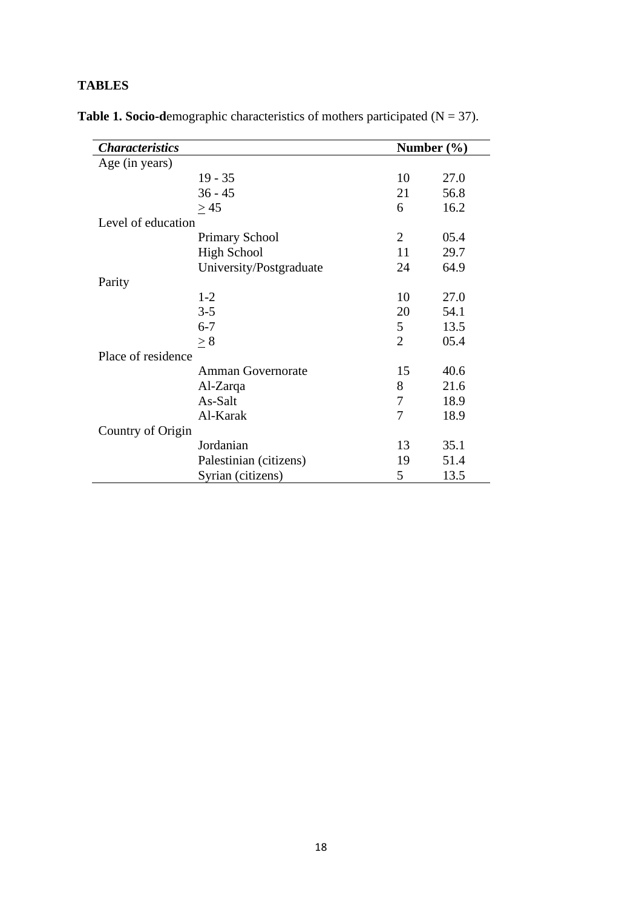## **TABLES**

| <b>Characteristics</b> |                          |  | Number $(\% )$ |      |
|------------------------|--------------------------|--|----------------|------|
| Age (in years)         |                          |  |                |      |
|                        | $19 - 35$                |  | 10             | 27.0 |
|                        | $36 - 45$                |  | 21             | 56.8 |
|                        | > 45                     |  | 6              | 16.2 |
| Level of education     |                          |  |                |      |
|                        | Primary School           |  | $\overline{2}$ | 05.4 |
|                        | <b>High School</b>       |  | 11             | 29.7 |
|                        | University/Postgraduate  |  | 24             | 64.9 |
| Parity                 |                          |  |                |      |
|                        | $1-2$                    |  | 10             | 27.0 |
|                        | $3 - 5$                  |  | 20             | 54.1 |
|                        | $6 - 7$                  |  | 5              | 13.5 |
|                        | > 8                      |  | $\overline{2}$ | 05.4 |
| Place of residence     |                          |  |                |      |
|                        | <b>Amman Governorate</b> |  | 15             | 40.6 |
|                        | $Al-Zarqa$               |  | 8              | 21.6 |
|                        | As-Salt                  |  | 7              | 18.9 |
|                        | Al-Karak                 |  | 7              | 18.9 |
| Country of Origin      |                          |  |                |      |
|                        | Jordanian                |  | 13             | 35.1 |
|                        | Palestinian (citizens)   |  | 19             | 51.4 |
|                        | Syrian (citizens)        |  | 5              | 13.5 |

**Table 1. Socio-demographic characteristics of mothers participated (** $N = 37$ **).**